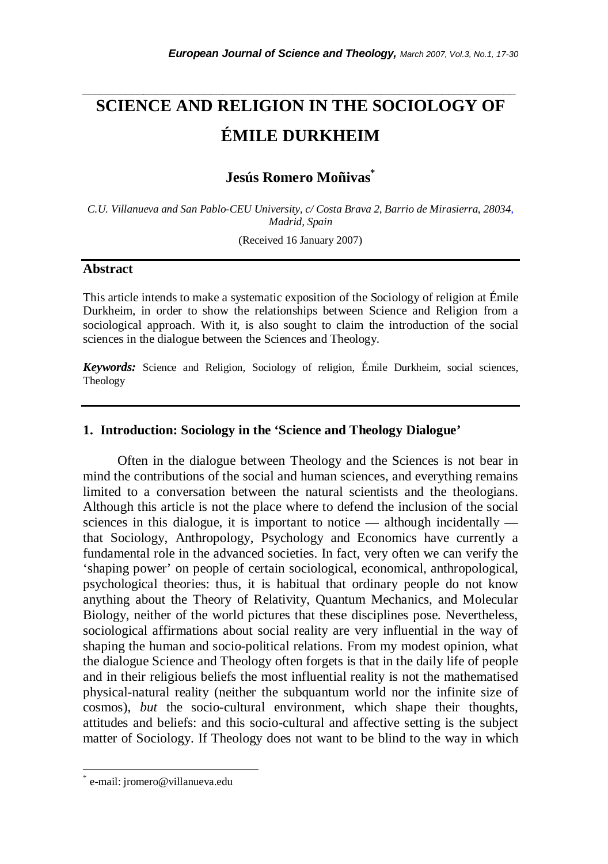# **SCIENCE AND RELIGION IN THE SOCIOLOGY OF ÉMILE DURKHEIM**

*\_\_\_\_\_\_\_\_\_\_\_\_\_\_\_\_\_\_\_\_\_\_\_\_\_\_\_\_\_\_\_\_\_\_\_\_\_\_\_\_\_\_\_\_\_\_\_\_\_\_\_\_\_\_\_\_\_\_\_\_\_\_\_\_\_\_\_\_\_\_\_* 

# **Jesús Romero Moñivas\***

*C.U. Villanueva and San Pablo-CEU University, c/ Costa Brava 2, Barrio de Mirasierra, 28034, Madrid, Spain* 

(Received 16 January 2007)

### **Abstract**

This article intends to make a systematic exposition of the Sociology of religion at Émile Durkheim, in order to show the relationships between Science and Religion from a sociological approach. With it, is also sought to claim the introduction of the social sciences in the dialogue between the Sciences and Theology.

*Keywords:* Science and Religion, Sociology of religion, Émile Durkheim, social sciences, Theology

#### **1. Introduction: Sociology in the 'Science and Theology Dialogue'**

Often in the dialogue between Theology and the Sciences is not bear in mind the contributions of the social and human sciences, and everything remains limited to a conversation between the natural scientists and the theologians. Although this article is not the place where to defend the inclusion of the social sciences in this dialogue, it is important to notice — although incidentally that Sociology, Anthropology, Psychology and Economics have currently a fundamental role in the advanced societies. In fact, very often we can verify the 'shaping power' on people of certain sociological, economical, anthropological, psychological theories: thus, it is habitual that ordinary people do not know anything about the Theory of Relativity, Quantum Mechanics, and Molecular Biology, neither of the world pictures that these disciplines pose. Nevertheless, sociological affirmations about social reality are very influential in the way of shaping the human and socio-political relations. From my modest opinion, what the dialogue Science and Theology often forgets is that in the daily life of people and in their religious beliefs the most influential reality is not the mathematised physical-natural reality (neither the subquantum world nor the infinite size of cosmos), *but* the socio-cultural environment, which shape their thoughts, attitudes and beliefs: and this socio-cultural and affective setting is the subject matter of Sociology. If Theology does not want to be blind to the way in which

l

<sup>\*</sup> e-mail: jromero@villanueva.edu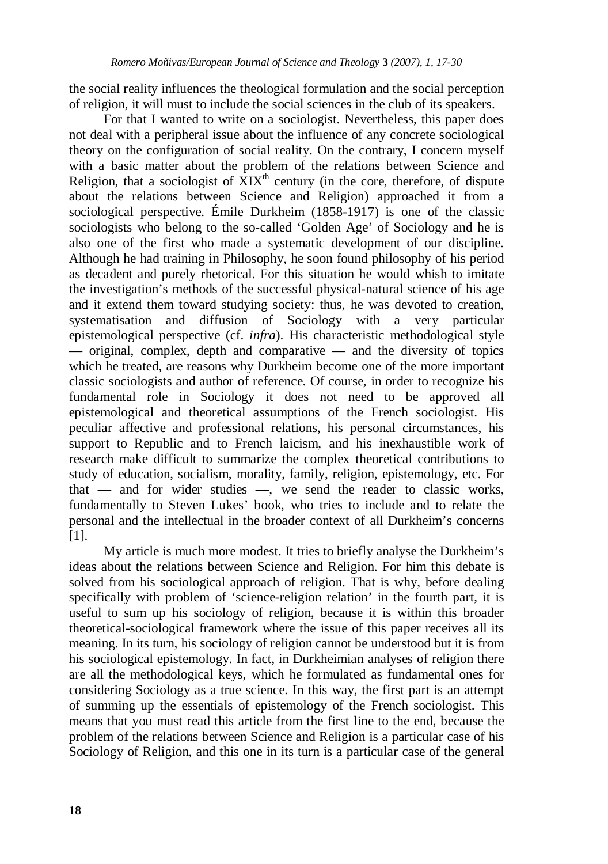the social reality influences the theological formulation and the social perception of religion, it will must to include the social sciences in the club of its speakers.

For that I wanted to write on a sociologist. Nevertheless, this paper does not deal with a peripheral issue about the influence of any concrete sociological theory on the configuration of social reality. On the contrary, I concern myself with a basic matter about the problem of the relations between Science and Religion, that a sociologist of  $\hat{X}I X^{th}$  century (in the core, therefore, of dispute about the relations between Science and Religion) approached it from a sociological perspective. Émile Durkheim (1858-1917) is one of the classic sociologists who belong to the so-called 'Golden Age' of Sociology and he is also one of the first who made a systematic development of our discipline. Although he had training in Philosophy, he soon found philosophy of his period as decadent and purely rhetorical. For this situation he would whish to imitate the investigation's methods of the successful physical-natural science of his age and it extend them toward studying society: thus, he was devoted to creation, systematisation and diffusion of Sociology with a very particular epistemological perspective (cf. *infra*). His characteristic methodological style — original, complex, depth and comparative — and the diversity of topics which he treated, are reasons why Durkheim become one of the more important classic sociologists and author of reference. Of course, in order to recognize his fundamental role in Sociology it does not need to be approved all epistemological and theoretical assumptions of the French sociologist. His peculiar affective and professional relations, his personal circumstances, his support to Republic and to French laicism, and his inexhaustible work of research make difficult to summarize the complex theoretical contributions to study of education, socialism, morality, family, religion, epistemology, etc. For that — and for wider studies —, we send the reader to classic works, fundamentally to Steven Lukes' book, who tries to include and to relate the personal and the intellectual in the broader context of all Durkheim's concerns [1].

My article is much more modest. It tries to briefly analyse the Durkheim's ideas about the relations between Science and Religion. For him this debate is solved from his sociological approach of religion. That is why, before dealing specifically with problem of 'science-religion relation' in the fourth part, it is useful to sum up his sociology of religion, because it is within this broader theoretical-sociological framework where the issue of this paper receives all its meaning. In its turn, his sociology of religion cannot be understood but it is from his sociological epistemology. In fact, in Durkheimian analyses of religion there are all the methodological keys, which he formulated as fundamental ones for considering Sociology as a true science. In this way, the first part is an attempt of summing up the essentials of epistemology of the French sociologist. This means that you must read this article from the first line to the end, because the problem of the relations between Science and Religion is a particular case of his Sociology of Religion, and this one in its turn is a particular case of the general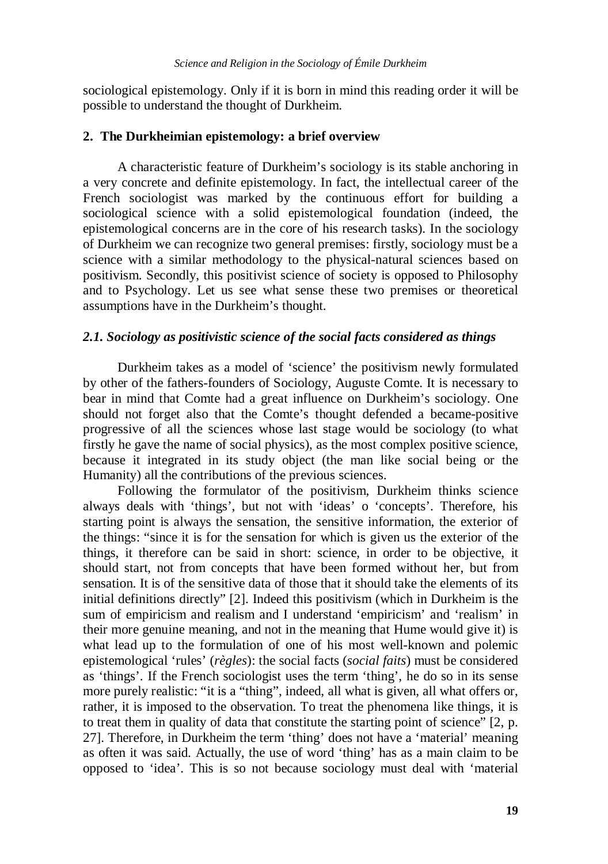sociological epistemology. Only if it is born in mind this reading order it will be possible to understand the thought of Durkheim.

### **2. The Durkheimian epistemology: a brief overview**

A characteristic feature of Durkheim's sociology is its stable anchoring in a very concrete and definite epistemology. In fact, the intellectual career of the French sociologist was marked by the continuous effort for building a sociological science with a solid epistemological foundation (indeed, the epistemological concerns are in the core of his research tasks). In the sociology of Durkheim we can recognize two general premises: firstly, sociology must be a science with a similar methodology to the physical-natural sciences based on positivism. Secondly, this positivist science of society is opposed to Philosophy and to Psychology. Let us see what sense these two premises or theoretical assumptions have in the Durkheim's thought.

# *2.1. Sociology as positivistic science of the social facts considered as things*

Durkheim takes as a model of 'science' the positivism newly formulated by other of the fathers-founders of Sociology, Auguste Comte. It is necessary to bear in mind that Comte had a great influence on Durkheim's sociology. One should not forget also that the Comte's thought defended a became-positive progressive of all the sciences whose last stage would be sociology (to what firstly he gave the name of social physics), as the most complex positive science, because it integrated in its study object (the man like social being or the Humanity) all the contributions of the previous sciences.

Following the formulator of the positivism, Durkheim thinks science always deals with 'things', but not with 'ideas' o 'concepts'. Therefore, his starting point is always the sensation, the sensitive information, the exterior of the things: "since it is for the sensation for which is given us the exterior of the things, it therefore can be said in short: science, in order to be objective, it should start, not from concepts that have been formed without her, but from sensation. It is of the sensitive data of those that it should take the elements of its initial definitions directly" [2]. Indeed this positivism (which in Durkheim is the sum of empiricism and realism and I understand 'empiricism' and 'realism' in their more genuine meaning, and not in the meaning that Hume would give it) is what lead up to the formulation of one of his most well-known and polemic epistemological 'rules' (*règles*): the social facts (*social faits*) must be considered as 'things'. If the French sociologist uses the term 'thing', he do so in its sense more purely realistic: "it is a "thing", indeed, all what is given, all what offers or, rather, it is imposed to the observation. To treat the phenomena like things, it is to treat them in quality of data that constitute the starting point of science" [2, p. 27]. Therefore, in Durkheim the term 'thing' does not have a 'material' meaning as often it was said. Actually, the use of word 'thing' has as a main claim to be opposed to 'idea'. This is so not because sociology must deal with 'material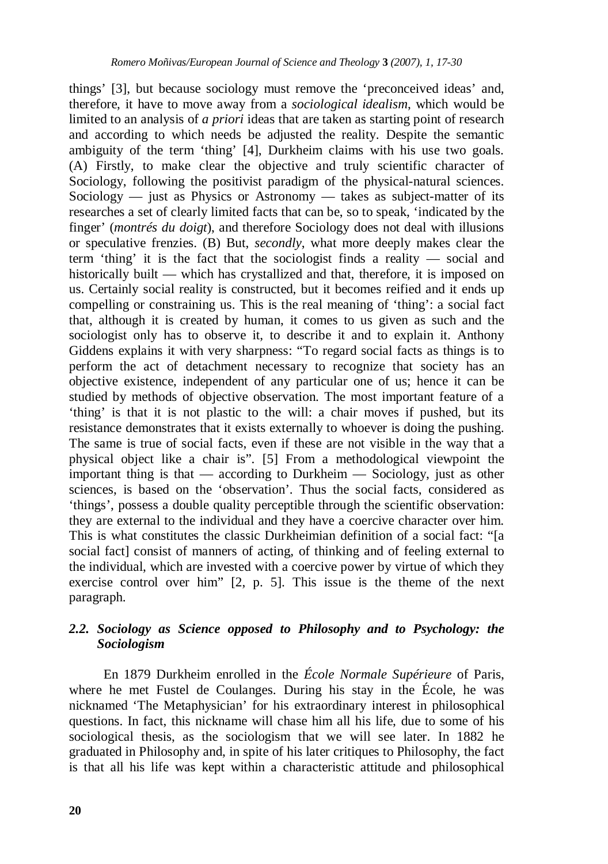things' [3], but because sociology must remove the 'preconceived ideas' and, therefore, it have to move away from a *sociological idealism*, which would be limited to an analysis of *a priori* ideas that are taken as starting point of research and according to which needs be adjusted the reality. Despite the semantic ambiguity of the term 'thing' [4], Durkheim claims with his use two goals. (A) Firstly, to make clear the objective and truly scientific character of Sociology, following the positivist paradigm of the physical-natural sciences. Sociology — just as Physics or Astronomy — takes as subject-matter of its researches a set of clearly limited facts that can be, so to speak, 'indicated by the finger' (*montrés du doigt*), and therefore Sociology does not deal with illusions or speculative frenzies. (B) But, *secondly*, what more deeply makes clear the term 'thing' it is the fact that the sociologist finds a reality — social and historically built — which has crystallized and that, therefore, it is imposed on us. Certainly social reality is constructed, but it becomes reified and it ends up compelling or constraining us. This is the real meaning of 'thing': a social fact that, although it is created by human, it comes to us given as such and the sociologist only has to observe it, to describe it and to explain it. Anthony Giddens explains it with very sharpness: "To regard social facts as things is to perform the act of detachment necessary to recognize that society has an objective existence, independent of any particular one of us; hence it can be studied by methods of objective observation. The most important feature of a 'thing' is that it is not plastic to the will: a chair moves if pushed, but its resistance demonstrates that it exists externally to whoever is doing the pushing. The same is true of social facts, even if these are not visible in the way that a physical object like a chair is". [5] From a methodological viewpoint the important thing is that — according to Durkheim — Sociology, just as other sciences, is based on the 'observation'. Thus the social facts, considered as 'things', possess a double quality perceptible through the scientific observation: they are external to the individual and they have a coercive character over him. This is what constitutes the classic Durkheimian definition of a social fact: "[a social fact] consist of manners of acting, of thinking and of feeling external to the individual, which are invested with a coercive power by virtue of which they exercise control over him" [2, p. 5]. This issue is the theme of the next paragraph.

# *2.2. Sociology as Science opposed to Philosophy and to Psychology: the Sociologism*

En 1879 Durkheim enrolled in the *École Normale Supérieure* of Paris, where he met Fustel de Coulanges. During his stay in the École, he was nicknamed 'The Metaphysician' for his extraordinary interest in philosophical questions. In fact, this nickname will chase him all his life, due to some of his sociological thesis, as the sociologism that we will see later. In 1882 he graduated in Philosophy and, in spite of his later critiques to Philosophy, the fact is that all his life was kept within a characteristic attitude and philosophical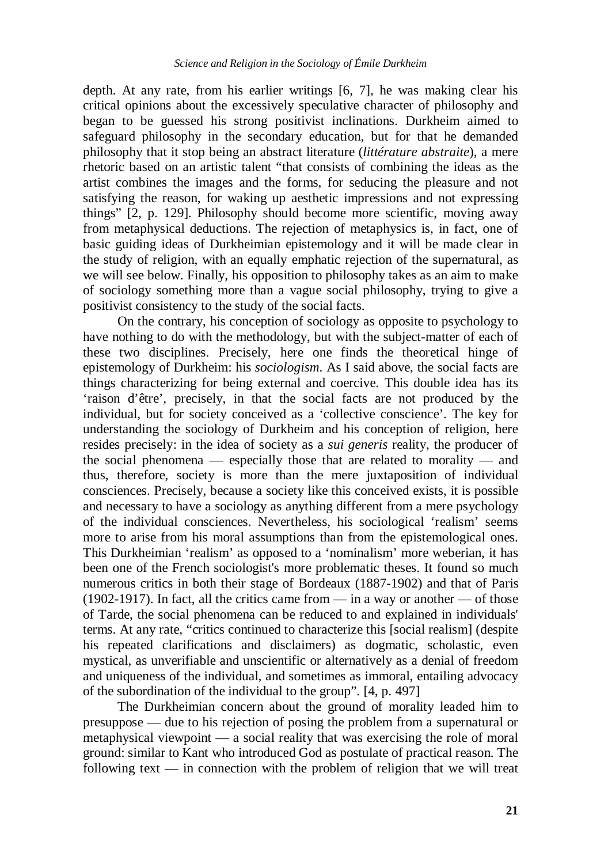depth. At any rate, from his earlier writings [6, 7], he was making clear his critical opinions about the excessively speculative character of philosophy and began to be guessed his strong positivist inclinations. Durkheim aimed to safeguard philosophy in the secondary education, but for that he demanded philosophy that it stop being an abstract literature (*littérature abstraite*), a mere rhetoric based on an artistic talent "that consists of combining the ideas as the artist combines the images and the forms, for seducing the pleasure and not satisfying the reason, for waking up aesthetic impressions and not expressing things" [2, p. 129]. Philosophy should become more scientific, moving away from metaphysical deductions. The rejection of metaphysics is, in fact, one of basic guiding ideas of Durkheimian epistemology and it will be made clear in the study of religion, with an equally emphatic rejection of the supernatural, as we will see below. Finally, his opposition to philosophy takes as an aim to make of sociology something more than a vague social philosophy, trying to give a positivist consistency to the study of the social facts.

On the contrary, his conception of sociology as opposite to psychology to have nothing to do with the methodology, but with the subject-matter of each of these two disciplines. Precisely, here one finds the theoretical hinge of epistemology of Durkheim: his *sociologism*. As I said above, the social facts are things characterizing for being external and coercive. This double idea has its 'raison d'être', precisely, in that the social facts are not produced by the individual, but for society conceived as a 'collective conscience'. The key for understanding the sociology of Durkheim and his conception of religion, here resides precisely: in the idea of society as a *sui generis* reality, the producer of the social phenomena — especially those that are related to morality — and thus, therefore, society is more than the mere juxtaposition of individual consciences. Precisely, because a society like this conceived exists, it is possible and necessary to have a sociology as anything different from a mere psychology of the individual consciences. Nevertheless, his sociological 'realism' seems more to arise from his moral assumptions than from the epistemological ones. This Durkheimian 'realism' as opposed to a 'nominalism' more weberian, it has been one of the French sociologist's more problematic theses. It found so much numerous critics in both their stage of Bordeaux (1887-1902) and that of Paris (1902-1917). In fact, all the critics came from — in a way or another — of those of Tarde, the social phenomena can be reduced to and explained in individuals' terms. At any rate, "critics continued to characterize this [social realism] (despite his repeated clarifications and disclaimers) as dogmatic, scholastic, even mystical, as unverifiable and unscientific or alternatively as a denial of freedom and uniqueness of the individual, and sometimes as immoral, entailing advocacy of the subordination of the individual to the group". [4, p. 497]

The Durkheimian concern about the ground of morality leaded him to presuppose — due to his rejection of posing the problem from a supernatural or metaphysical viewpoint — a social reality that was exercising the role of moral ground: similar to Kant who introduced God as postulate of practical reason. The following text — in connection with the problem of religion that we will treat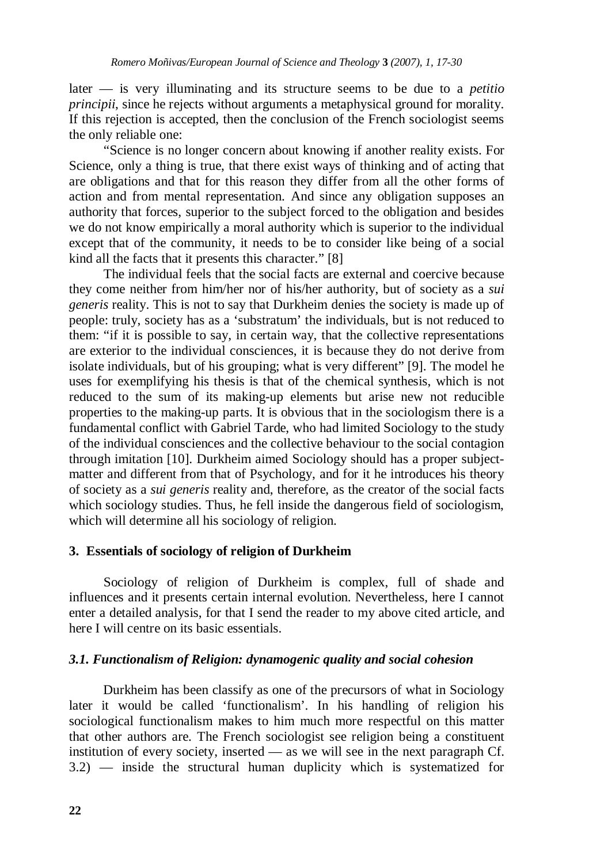later — is very illuminating and its structure seems to be due to a *petitio principii*, since he rejects without arguments a metaphysical ground for morality. If this rejection is accepted, then the conclusion of the French sociologist seems the only reliable one:

"Science is no longer concern about knowing if another reality exists. For Science, only a thing is true, that there exist ways of thinking and of acting that are obligations and that for this reason they differ from all the other forms of action and from mental representation. And since any obligation supposes an authority that forces, superior to the subject forced to the obligation and besides we do not know empirically a moral authority which is superior to the individual except that of the community, it needs to be to consider like being of a social kind all the facts that it presents this character." [8]

The individual feels that the social facts are external and coercive because they come neither from him/her nor of his/her authority, but of society as a *sui generis* reality. This is not to say that Durkheim denies the society is made up of people: truly, society has as a 'substratum' the individuals, but is not reduced to them: "if it is possible to say, in certain way, that the collective representations are exterior to the individual consciences, it is because they do not derive from isolate individuals, but of his grouping; what is very different" [9]. The model he uses for exemplifying his thesis is that of the chemical synthesis, which is not reduced to the sum of its making-up elements but arise new not reducible properties to the making-up parts. It is obvious that in the sociologism there is a fundamental conflict with Gabriel Tarde, who had limited Sociology to the study of the individual consciences and the collective behaviour to the social contagion through imitation [10]. Durkheim aimed Sociology should has a proper subjectmatter and different from that of Psychology, and for it he introduces his theory of society as a *sui generis* reality and, therefore, as the creator of the social facts which sociology studies. Thus, he fell inside the dangerous field of sociologism, which will determine all his sociology of religion.

# **3. Essentials of sociology of religion of Durkheim**

Sociology of religion of Durkheim is complex, full of shade and influences and it presents certain internal evolution. Nevertheless, here I cannot enter a detailed analysis, for that I send the reader to my above cited article, and here I will centre on its basic essentials.

# *3.1. Functionalism of Religion: dynamogenic quality and social cohesion*

Durkheim has been classify as one of the precursors of what in Sociology later it would be called 'functionalism'. In his handling of religion his sociological functionalism makes to him much more respectful on this matter that other authors are. The French sociologist see religion being a constituent institution of every society, inserted — as we will see in the next paragraph Cf. 3.2) — inside the structural human duplicity which is systematized for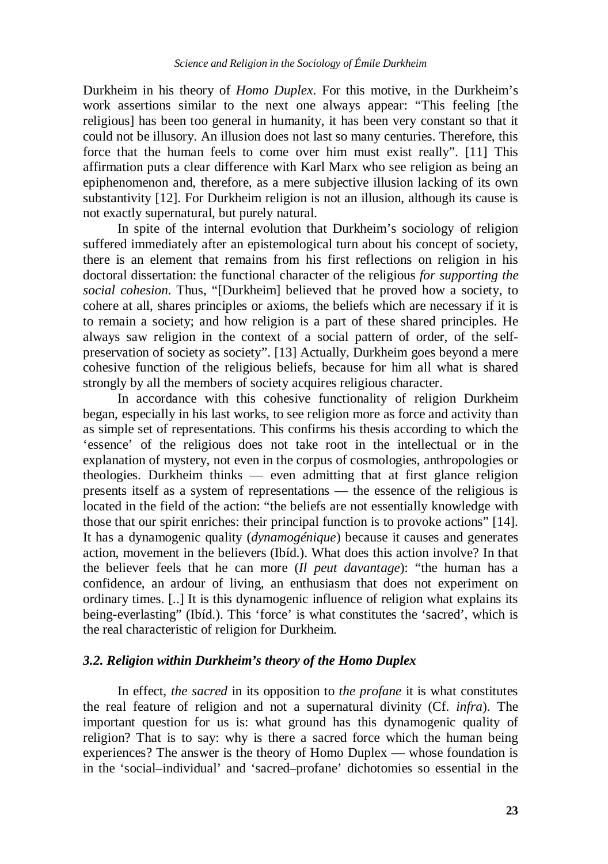Durkheim in his theory of *Homo Duplex*. For this motive, in the Durkheim's work assertions similar to the next one always appear: "This feeling [the religious] has been too general in humanity, it has been very constant so that it could not be illusory. An illusion does not last so many centuries. Therefore, this force that the human feels to come over him must exist really". [11] This affirmation puts a clear difference with Karl Marx who see religion as being an epiphenomenon and, therefore, as a mere subjective illusion lacking of its own substantivity [12]. For Durkheim religion is not an illusion, although its cause is not exactly supernatural, but purely natural.

In spite of the internal evolution that Durkheim's sociology of religion suffered immediately after an epistemological turn about his concept of society, there is an element that remains from his first reflections on religion in his doctoral dissertation: the functional character of the religious *for supporting the social cohesion*. Thus, "[Durkheim] believed that he proved how a society, to cohere at all, shares principles or axioms, the beliefs which are necessary if it is to remain a society; and how religion is a part of these shared principles. He always saw religion in the context of a social pattern of order, of the selfpreservation of society as society". [13] Actually, Durkheim goes beyond a mere cohesive function of the religious beliefs, because for him all what is shared strongly by all the members of society acquires religious character.

In accordance with this cohesive functionality of religion Durkheim began, especially in his last works, to see religion more as force and activity than as simple set of representations. This confirms his thesis according to which the 'essence' of the religious does not take root in the intellectual or in the explanation of mystery, not even in the corpus of cosmologies, anthropologies or theologies. Durkheim thinks — even admitting that at first glance religion presents itself as a system of representations — the essence of the religious is located in the field of the action: "the beliefs are not essentially knowledge with those that our spirit enriches: their principal function is to provoke actions" [14]. It has a dynamogenic quality (*dynamogénique*) because it causes and generates action, movement in the believers (Ibíd.). What does this action involve? In that the believer feels that he can more (*Il peut davantage*): "the human has a confidence, an ardour of living, an enthusiasm that does not experiment on ordinary times. [..] It is this dynamogenic influence of religion what explains its being-everlasting" (Ibíd.). This 'force' is what constitutes the 'sacred', which is the real characteristic of religion for Durkheim.

### *3.2. Religion within Durkheim's theory of the Homo Duplex*

In effect, *the sacred* in its opposition to *the profane* it is what constitutes the real feature of religion and not a supernatural divinity (Cf. *infra*). The important question for us is: what ground has this dynamogenic quality of religion? That is to say: why is there a sacred force which the human being experiences? The answer is the theory of Homo Duplex — whose foundation is in the 'social–individual' and 'sacred–profane' dichotomies so essential in the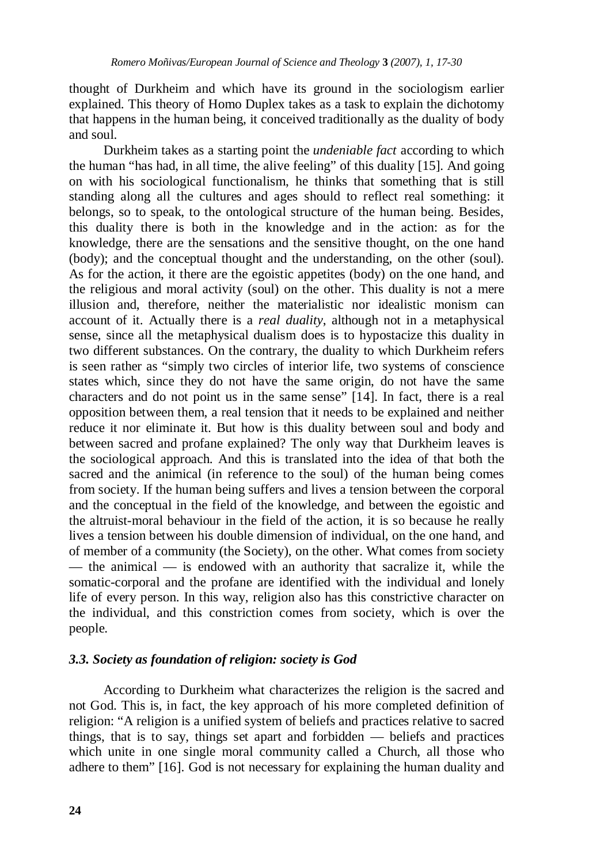thought of Durkheim and which have its ground in the sociologism earlier explained. This theory of Homo Duplex takes as a task to explain the dichotomy that happens in the human being, it conceived traditionally as the duality of body and soul.

Durkheim takes as a starting point the *undeniable fact* according to which the human "has had, in all time, the alive feeling" of this duality [15]. And going on with his sociological functionalism, he thinks that something that is still standing along all the cultures and ages should to reflect real something: it belongs, so to speak, to the ontological structure of the human being. Besides, this duality there is both in the knowledge and in the action: as for the knowledge, there are the sensations and the sensitive thought, on the one hand (body); and the conceptual thought and the understanding, on the other (soul). As for the action, it there are the egoistic appetites (body) on the one hand, and the religious and moral activity (soul) on the other. This duality is not a mere illusion and, therefore, neither the materialistic nor idealistic monism can account of it. Actually there is a *real duality*, although not in a metaphysical sense, since all the metaphysical dualism does is to hypostacize this duality in two different substances. On the contrary, the duality to which Durkheim refers is seen rather as "simply two circles of interior life, two systems of conscience states which, since they do not have the same origin, do not have the same characters and do not point us in the same sense" [14]. In fact, there is a real opposition between them, a real tension that it needs to be explained and neither reduce it nor eliminate it. But how is this duality between soul and body and between sacred and profane explained? The only way that Durkheim leaves is the sociological approach. And this is translated into the idea of that both the sacred and the animical (in reference to the soul) of the human being comes from society. If the human being suffers and lives a tension between the corporal and the conceptual in the field of the knowledge, and between the egoistic and the altruist-moral behaviour in the field of the action, it is so because he really lives a tension between his double dimension of individual, on the one hand, and of member of a community (the Society), on the other. What comes from society — the animical — is endowed with an authority that sacralize it, while the somatic-corporal and the profane are identified with the individual and lonely life of every person. In this way, religion also has this constrictive character on the individual, and this constriction comes from society, which is over the people.

# *3.3. Society as foundation of religion: society is God*

 According to Durkheim what characterizes the religion is the sacred and not God. This is, in fact, the key approach of his more completed definition of religion: "A religion is a unified system of beliefs and practices relative to sacred things, that is to say, things set apart and forbidden — beliefs and practices which unite in one single moral community called a Church, all those who adhere to them" [16]. God is not necessary for explaining the human duality and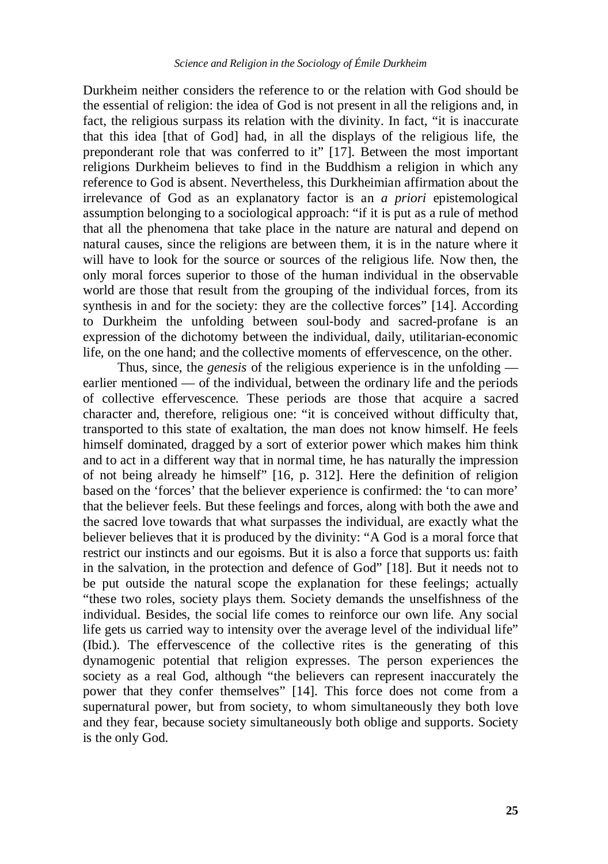Durkheim neither considers the reference to or the relation with God should be the essential of religion: the idea of God is not present in all the religions and, in fact, the religious surpass its relation with the divinity. In fact, "it is inaccurate that this idea [that of God] had, in all the displays of the religious life, the preponderant role that was conferred to it" [17]. Between the most important religions Durkheim believes to find in the Buddhism a religion in which any reference to God is absent. Nevertheless, this Durkheimian affirmation about the irrelevance of God as an explanatory factor is an *a priori* epistemological assumption belonging to a sociological approach: "if it is put as a rule of method that all the phenomena that take place in the nature are natural and depend on natural causes, since the religions are between them, it is in the nature where it will have to look for the source or sources of the religious life. Now then, the only moral forces superior to those of the human individual in the observable world are those that result from the grouping of the individual forces, from its synthesis in and for the society: they are the collective forces" [14]. According to Durkheim the unfolding between soul-body and sacred-profane is an expression of the dichotomy between the individual, daily, utilitarian-economic life, on the one hand; and the collective moments of effervescence, on the other.

 Thus, since, the *genesis* of the religious experience is in the unfolding earlier mentioned — of the individual, between the ordinary life and the periods of collective effervescence. These periods are those that acquire a sacred character and, therefore, religious one: "it is conceived without difficulty that, transported to this state of exaltation, the man does not know himself. He feels himself dominated, dragged by a sort of exterior power which makes him think and to act in a different way that in normal time, he has naturally the impression of not being already he himself" [16, p. 312]. Here the definition of religion based on the 'forces' that the believer experience is confirmed: the 'to can more' that the believer feels. But these feelings and forces, along with both the awe and the sacred love towards that what surpasses the individual, are exactly what the believer believes that it is produced by the divinity: "A God is a moral force that restrict our instincts and our egoisms. But it is also a force that supports us: faith in the salvation, in the protection and defence of God" [18]. But it needs not to be put outside the natural scope the explanation for these feelings; actually "these two roles, society plays them. Society demands the unselfishness of the individual. Besides, the social life comes to reinforce our own life. Any social life gets us carried way to intensity over the average level of the individual life" (Ibid.). The effervescence of the collective rites is the generating of this dynamogenic potential that religion expresses. The person experiences the society as a real God, although "the believers can represent inaccurately the power that they confer themselves" [14]. This force does not come from a supernatural power, but from society, to whom simultaneously they both love and they fear, because society simultaneously both oblige and supports. Society is the only God.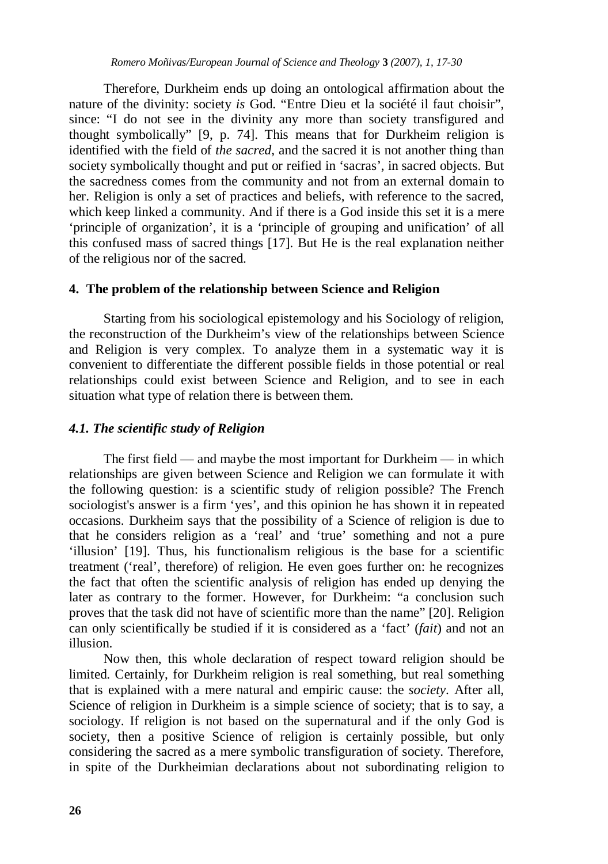Therefore, Durkheim ends up doing an ontological affirmation about the nature of the divinity: society *is* God. "Entre Dieu et la société il faut choisir", since: "I do not see in the divinity any more than society transfigured and thought symbolically" [9, p. 74]. This means that for Durkheim religion is identified with the field of *the sacred*, and the sacred it is not another thing than society symbolically thought and put or reified in 'sacras', in sacred objects. But the sacredness comes from the community and not from an external domain to her. Religion is only a set of practices and beliefs, with reference to the sacred, which keep linked a community. And if there is a God inside this set it is a mere 'principle of organization', it is a 'principle of grouping and unification' of all this confused mass of sacred things [17]. But He is the real explanation neither of the religious nor of the sacred.

### **4. The problem of the relationship between Science and Religion**

Starting from his sociological epistemology and his Sociology of religion, the reconstruction of the Durkheim's view of the relationships between Science and Religion is very complex. To analyze them in a systematic way it is convenient to differentiate the different possible fields in those potential or real relationships could exist between Science and Religion, and to see in each situation what type of relation there is between them.

# *4.1. The scientific study of Religion*

 The first field — and maybe the most important for Durkheim — in which relationships are given between Science and Religion we can formulate it with the following question: is a scientific study of religion possible? The French sociologist's answer is a firm 'yes', and this opinion he has shown it in repeated occasions. Durkheim says that the possibility of a Science of religion is due to that he considers religion as a 'real' and 'true' something and not a pure 'illusion' [19]. Thus, his functionalism religious is the base for a scientific treatment ('real', therefore) of religion. He even goes further on: he recognizes the fact that often the scientific analysis of religion has ended up denying the later as contrary to the former. However, for Durkheim: "a conclusion such proves that the task did not have of scientific more than the name" [20]. Religion can only scientifically be studied if it is considered as a 'fact' (*fait*) and not an illusion.

 Now then, this whole declaration of respect toward religion should be limited. Certainly, for Durkheim religion is real something, but real something that is explained with a mere natural and empiric cause: the *society*. After all, Science of religion in Durkheim is a simple science of society; that is to say, a sociology. If religion is not based on the supernatural and if the only God is society, then a positive Science of religion is certainly possible, but only considering the sacred as a mere symbolic transfiguration of society. Therefore, in spite of the Durkheimian declarations about not subordinating religion to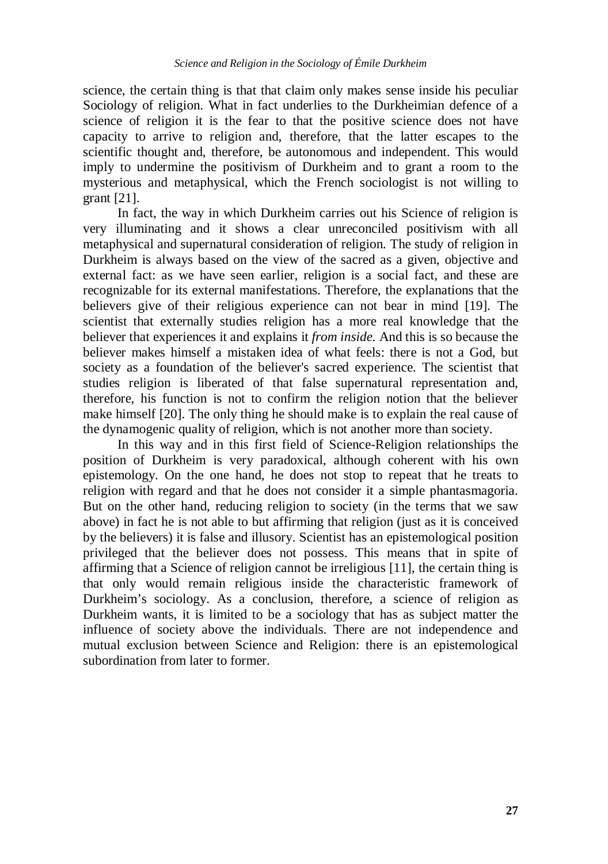science, the certain thing is that that claim only makes sense inside his peculiar Sociology of religion. What in fact underlies to the Durkheimian defence of a science of religion it is the fear to that the positive science does not have capacity to arrive to religion and, therefore, that the latter escapes to the scientific thought and, therefore, be autonomous and independent. This would imply to undermine the positivism of Durkheim and to grant a room to the mysterious and metaphysical, which the French sociologist is not willing to grant [21].

 In fact, the way in which Durkheim carries out his Science of religion is very illuminating and it shows a clear unreconciled positivism with all metaphysical and supernatural consideration of religion. The study of religion in Durkheim is always based on the view of the sacred as a given, objective and external fact: as we have seen earlier, religion is a social fact, and these are recognizable for its external manifestations. Therefore, the explanations that the believers give of their religious experience can not bear in mind [19]. The scientist that externally studies religion has a more real knowledge that the believer that experiences it and explains it *from inside.* And this is so because the believer makes himself a mistaken idea of what feels: there is not a God, but society as a foundation of the believer's sacred experience. The scientist that studies religion is liberated of that false supernatural representation and, therefore, his function is not to confirm the religion notion that the believer make himself [20]. The only thing he should make is to explain the real cause of the dynamogenic quality of religion, which is not another more than society.

 In this way and in this first field of Science-Religion relationships the position of Durkheim is very paradoxical, although coherent with his own epistemology. On the one hand, he does not stop to repeat that he treats to religion with regard and that he does not consider it a simple phantasmagoria. But on the other hand, reducing religion to society (in the terms that we saw above) in fact he is not able to but affirming that religion (just as it is conceived by the believers) it is false and illusory. Scientist has an epistemological position privileged that the believer does not possess. This means that in spite of affirming that a Science of religion cannot be irreligious [11], the certain thing is that only would remain religious inside the characteristic framework of Durkheim's sociology. As a conclusion, therefore, a science of religion as Durkheim wants, it is limited to be a sociology that has as subject matter the influence of society above the individuals. There are not independence and mutual exclusion between Science and Religion: there is an epistemological subordination from later to former.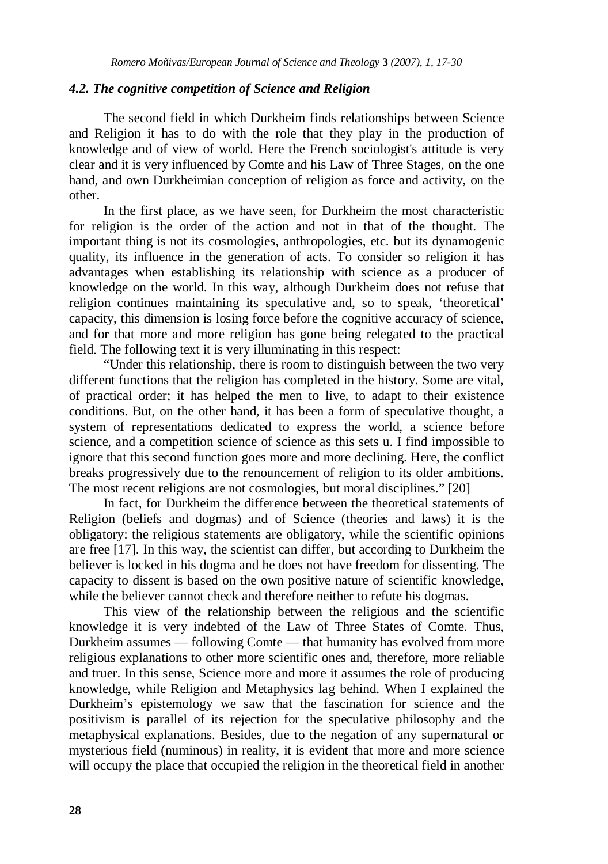#### *4.2. The cognitive competition of Science and Religion*

The second field in which Durkheim finds relationships between Science and Religion it has to do with the role that they play in the production of knowledge and of view of world. Here the French sociologist's attitude is very clear and it is very influenced by Comte and his Law of Three Stages, on the one hand, and own Durkheimian conception of religion as force and activity, on the other.

In the first place, as we have seen, for Durkheim the most characteristic for religion is the order of the action and not in that of the thought. The important thing is not its cosmologies, anthropologies, etc. but its dynamogenic quality, its influence in the generation of acts. To consider so religion it has advantages when establishing its relationship with science as a producer of knowledge on the world. In this way, although Durkheim does not refuse that religion continues maintaining its speculative and, so to speak, 'theoretical' capacity, this dimension is losing force before the cognitive accuracy of science, and for that more and more religion has gone being relegated to the practical field. The following text it is very illuminating in this respect:

"Under this relationship, there is room to distinguish between the two very different functions that the religion has completed in the history. Some are vital, of practical order; it has helped the men to live, to adapt to their existence conditions. But, on the other hand, it has been a form of speculative thought, a system of representations dedicated to express the world, a science before science, and a competition science of science as this sets u. I find impossible to ignore that this second function goes more and more declining. Here, the conflict breaks progressively due to the renouncement of religion to its older ambitions. The most recent religions are not cosmologies, but moral disciplines." [20]

In fact, for Durkheim the difference between the theoretical statements of Religion (beliefs and dogmas) and of Science (theories and laws) it is the obligatory: the religious statements are obligatory, while the scientific opinions are free [17]. In this way, the scientist can differ, but according to Durkheim the believer is locked in his dogma and he does not have freedom for dissenting. The capacity to dissent is based on the own positive nature of scientific knowledge, while the believer cannot check and therefore neither to refute his dogmas.

This view of the relationship between the religious and the scientific knowledge it is very indebted of the Law of Three States of Comte. Thus, Durkheim assumes — following Comte — that humanity has evolved from more religious explanations to other more scientific ones and, therefore, more reliable and truer. In this sense, Science more and more it assumes the role of producing knowledge, while Religion and Metaphysics lag behind. When I explained the Durkheim's epistemology we saw that the fascination for science and the positivism is parallel of its rejection for the speculative philosophy and the metaphysical explanations. Besides, due to the negation of any supernatural or mysterious field (numinous) in reality, it is evident that more and more science will occupy the place that occupied the religion in the theoretical field in another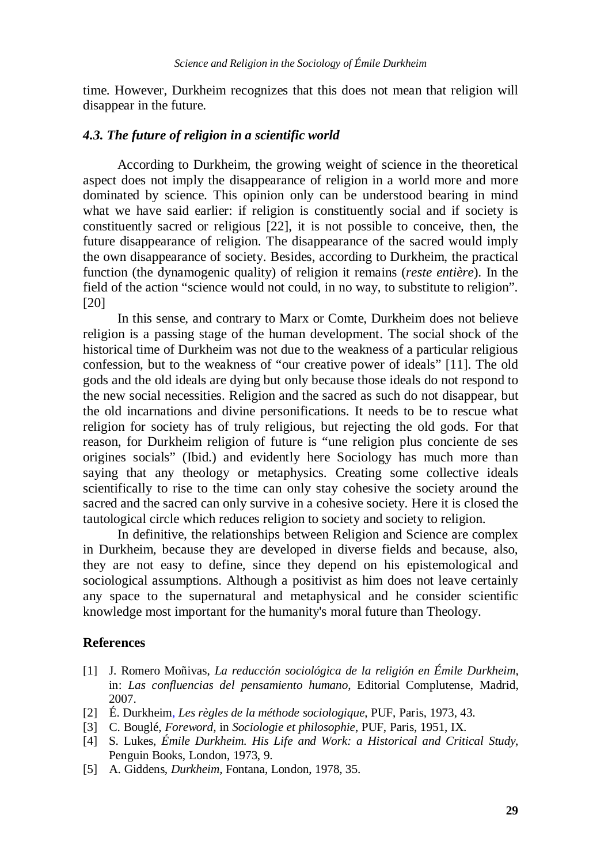time. However, Durkheim recognizes that this does not mean that religion will disappear in the future.

### *4.3. The future of religion in a scientific world*

According to Durkheim, the growing weight of science in the theoretical aspect does not imply the disappearance of religion in a world more and more dominated by science. This opinion only can be understood bearing in mind what we have said earlier: if religion is constituently social and if society is constituently sacred or religious [22], it is not possible to conceive, then, the future disappearance of religion. The disappearance of the sacred would imply the own disappearance of society. Besides, according to Durkheim, the practical function (the dynamogenic quality) of religion it remains (*reste entière*). In the field of the action "science would not could, in no way, to substitute to religion". [20]

In this sense, and contrary to Marx or Comte, Durkheim does not believe religion is a passing stage of the human development. The social shock of the historical time of Durkheim was not due to the weakness of a particular religious confession, but to the weakness of "our creative power of ideals" [11]. The old gods and the old ideals are dying but only because those ideals do not respond to the new social necessities. Religion and the sacred as such do not disappear, but the old incarnations and divine personifications. It needs to be to rescue what religion for society has of truly religious, but rejecting the old gods. For that reason, for Durkheim religion of future is "une religion plus conciente de ses origines socials" (Ibid.) and evidently here Sociology has much more than saying that any theology or metaphysics. Creating some collective ideals scientifically to rise to the time can only stay cohesive the society around the sacred and the sacred can only survive in a cohesive society. Here it is closed the tautological circle which reduces religion to society and society to religion.

In definitive, the relationships between Religion and Science are complex in Durkheim, because they are developed in diverse fields and because, also, they are not easy to define, since they depend on his epistemological and sociological assumptions. Although a positivist as him does not leave certainly any space to the supernatural and metaphysical and he consider scientific knowledge most important for the humanity's moral future than Theology.

# **References**

- [1] J. Romero Moñivas, *La reducción sociológica de la religión en Émile Durkheim*, in: *Las confluencias del pensamiento humano*, Editorial Complutense, Madrid, 2007.
- [2] É. Durkheim, *Les règles de la méthode sociologique*, PUF, Paris, 1973, 43.
- [3] C. Bouglé, *Foreword*, in *Sociologie et philosophie*, PUF, Paris, 1951, IX.
- [4] S. Lukes, *Émile Durkheim. His Life and Work: a Historical and Critical Study*, Penguin Books, London, 1973, 9.
- [5] A. Giddens*, Durkheim,* Fontana, London, 1978, 35.